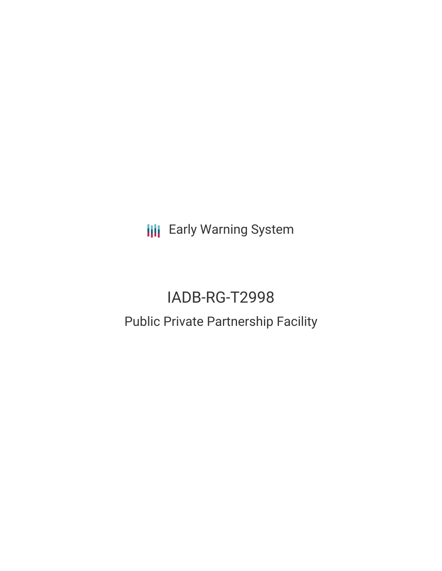**III** Early Warning System

# IADB-RG-T2998 Public Private Partnership Facility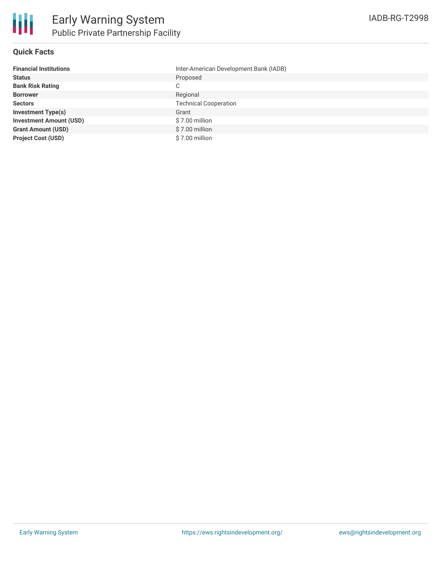

## **Quick Facts**

| <b>Financial Institutions</b>  | Inter-American Development Bank (IADB) |
|--------------------------------|----------------------------------------|
| <b>Status</b>                  | Proposed                               |
| <b>Bank Risk Rating</b>        | C                                      |
| <b>Borrower</b>                | Regional                               |
| <b>Sectors</b>                 | <b>Technical Cooperation</b>           |
| <b>Investment Type(s)</b>      | Grant                                  |
| <b>Investment Amount (USD)</b> | $$7.00$ million                        |
| <b>Grant Amount (USD)</b>      | \$7.00 million                         |
| <b>Project Cost (USD)</b>      | \$7.00 million                         |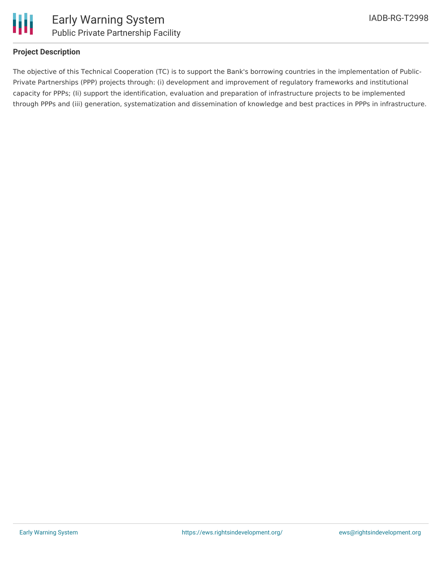

## **Project Description**

The objective of this Technical Cooperation (TC) is to support the Bank's borrowing countries in the implementation of Public-Private Partnerships (PPP) projects through: (i) development and improvement of regulatory frameworks and institutional capacity for PPPs; (Ii) support the identification, evaluation and preparation of infrastructure projects to be implemented through PPPs and (iii) generation, systematization and dissemination of knowledge and best practices in PPPs in infrastructure.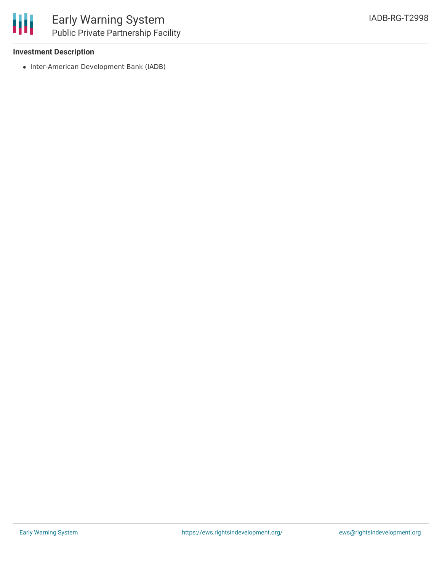### **Investment Description**

• Inter-American Development Bank (IADB)